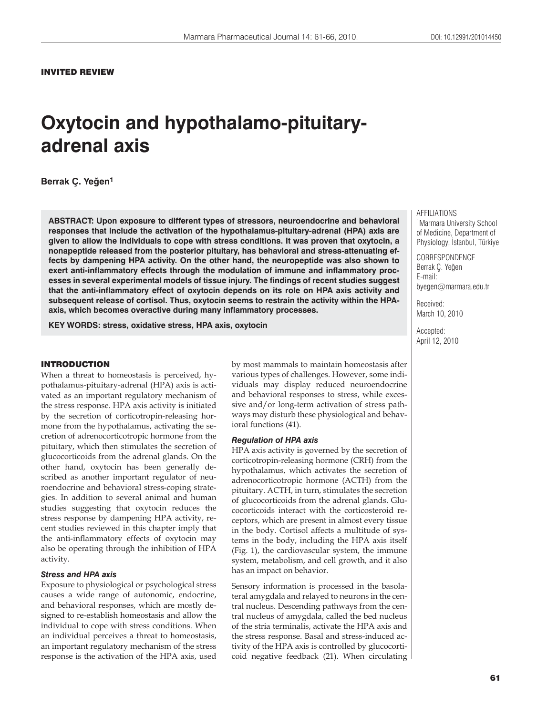# **Oxytocin and hypothalamo-pituitaryadrenal axis**

# **Berrak Ç. Yeùen1**

**ABSTRACT: Upon exposure to different types of stressors, neuroendocrine and behavioral responses that include the activation of the hypothalamus-pituitary-adrenal (HPA) axis are given to allow the individuals to cope with stress conditions. It was proven that oxytocin, a nonapeptide released from the posterior pituitary, has behavioral and stress-attenuating effects by dampening HPA activity. On the other hand, the neuropeptide was also shown to exert anti-inflammatory effects through the modulation of immune and inflammatory processes in several experimental models of tissue injury. The findings of recent studies suggest that the anti-inflammatory effect of oxytocin depends on its role on HPA axis activity and subsequent release of cortisol. Thus, oxytocin seems to restrain the activity within the HPAaxis, which becomes overactive during many inflammatory processes.**

**KEY WORDS: stress, oxidative stress, HPA axis, oxytocin**

## INTRODUCTION

When a threat to homeostasis is perceived, hypothalamus-pituitary-adrenal (HPA) axis is activated as an important regulatory mechanism of the stress response. HPA axis activity is initiated by the secretion of corticotropin-releasing hormone from the hypothalamus, activating the secretion of adrenocorticotropic hormone from the pituitary, which then stimulates the secretion of glucocorticoids from the adrenal glands. On the other hand, oxytocin has been generally described as another important regulator of neuroendocrine and behavioral stress-coping strategies. In addition to several animal and human studies suggesting that oxytocin reduces the stress response by dampening HPA activity, recent studies reviewed in this chapter imply that the anti-inflammatory effects of oxytocin may also be operating through the inhibition of HPA activity.

## *Stress and HPA axis*

Exposure to physiological or psychological stress causes a wide range of autonomic, endocrine, and behavioral responses, which are mostly designed to re-establish homeostasis and allow the individual to cope with stress conditions. When an individual perceives a threat to homeostasis, an important regulatory mechanism of the stress response is the activation of the HPA axis, used

by most mammals to maintain homeostasis after various types of challenges. However, some individuals may display reduced neuroendocrine and behavioral responses to stress, while excessive and/or long-term activation of stress pathways may disturb these physiological and behavioral functions (41).

#### *Regulation of HPA axis*

HPA axis activity is governed by the secretion of corticotropin-releasing hormone (CRH) from the hypothalamus, which activates the secretion of adrenocorticotropic hormone (ACTH) from the pituitary. ACTH, in turn, stimulates the secretion of glucocorticoids from the adrenal glands. Glucocorticoids interact with the corticosteroid receptors, which are present in almost every tissue in the body. Cortisol affects a multitude of systems in the body, including the HPA axis itself (Fig. 1), the cardiovascular system, the immune system, metabolism, and cell growth, and it also has an impact on behavior.

Sensory information is processed in the basolateral amygdala and relayed to neurons in the central nucleus. Descending pathways from the central nucleus of amygdala, called the bed nucleus of the stria terminalis, activate the HPA axis and the stress response. Basal and stress-induced activity of the HPA axis is controlled by glucocorticoid negative feedback (21). When circulating

**AFFILIATIONS** 1Marmara University School of Medicine, Department of Physiology, İstanbul, Türkiye

**CORRESPONDENCE** Berrak Ç. Yeğen E-mail: byegen@marmara.edu.tr

61

Received: March 10, 2010

Accepted: April 12, 2010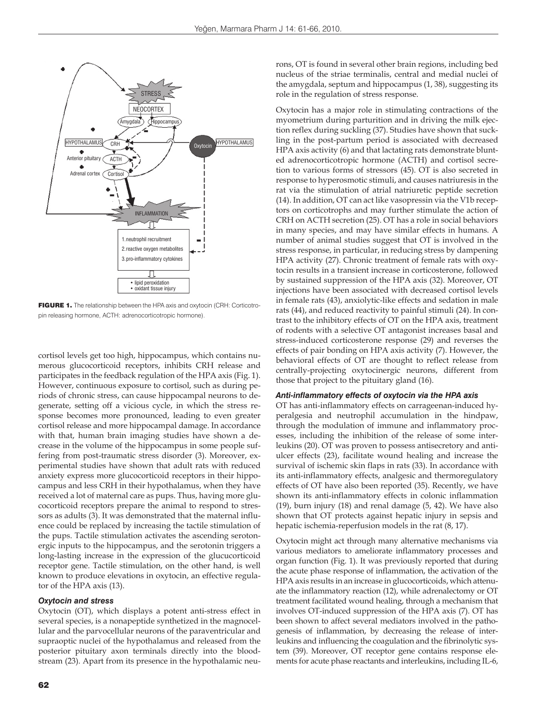

FIGURE 1. The relationship between the HPA axis and oxytocin (CRH: Corticotropin releasing hormone, ACTH: adrenocorticotropic hormone).

cortisol levels get too high, hippocampus, which contains numerous glucocorticoid receptors, inhibits CRH release and participates in the feedback regulation of the HPA axis (Fig. 1). However, continuous exposure to cortisol, such as during periods of chronic stress, can cause hippocampal neurons to degenerate, setting off a vicious cycle, in which the stress response becomes more pronounced, leading to even greater cortisol release and more hippocampal damage. In accordance with that, human brain imaging studies have shown a decrease in the volume of the hippocampus in some people suffering from post-traumatic stress disorder (3). Moreover, experimental studies have shown that adult rats with reduced anxiety express more glucocorticoid receptors in their hippocampus and less CRH in their hypothalamus, when they have received a lot of maternal care as pups. Thus, having more glucocorticoid receptors prepare the animal to respond to stressors as adults (3). It was demonstrated that the maternal influence could be replaced by increasing the tactile stimulation of the pups. Tactile stimulation activates the ascending serotonergic inputs to the hippocampus, and the serotonin triggers a long-lasting increase in the expression of the glucucorticoid receptor gene. Tactile stimulation, on the other hand, is well known to produce elevations in oxytocin, an effective regulator of the HPA axis (13).

#### *Oxytocin and stress*

Oxytocin (OT), which displays a potent anti-stress effect in several species, is a nonapeptide synthetized in the magnocellular and the parvocellular neurons of the paraventricular and supraoptic nuclei of the hypothalamus and released from the posterior pituitary axon terminals directly into the bloodstream (23). Apart from its presence in the hypothalamic neurons, OT is found in several other brain regions, including bed nucleus of the striae terminalis, central and medial nuclei of the amygdala, septum and hippocampus (1, 38), suggesting its role in the regulation of stress response.

Oxytocin has a major role in stimulating contractions of the myometrium during parturition and in driving the milk ejection reflex during suckling (37). Studies have shown that suckling in the post-partum period is associated with decreased HPA axis activity (6) and that lactating rats demonstrate blunted adrenocorticotropic hormone (ACTH) and cortisol secretion to various forms of stressors (45). OT is also secreted in response to hyperosmotic stimuli, and causes natriuresis in the rat via the stimulation of atrial natriuretic peptide secretion (14). In addition, OT can act like vasopressin via the V1b receptors on corticotrophs and may further stimulate the action of CRH on ACTH secretion (25). OT has a role in social behaviors in many species, and may have similar effects in humans. A number of animal studies suggest that OT is involved in the stress response, in particular, in reducing stress by dampening HPA activity (27). Chronic treatment of female rats with oxytocin results in a transient increase in corticosterone, followed by sustained suppression of the HPA axis (32). Moreover, OT injections have been associated with decreased cortisol levels in female rats (43), anxiolytic-like effects and sedation in male rats (44), and reduced reactivity to painful stimuli (24). In contrast to the inhibitory effects of OT on the HPA axis, treatment of rodents with a selective OT antagonist increases basal and stress-induced corticosterone response (29) and reverses the effects of pair bonding on HPA axis activity (7). However, the behavioral effects of OT are thought to reflect release from centrally-projecting oxytocinergic neurons, different from those that project to the pituitary gland (16).

## *Anti-inflammatory effects of oxytocin via the HPA axis*

OT has anti-inflammatory effects on carrageenan-induced hyperalgesia and neutrophil accumulation in the hindpaw, through the modulation of immune and inflammatory processes, including the inhibition of the release of some interleukins (20). OT was proven to possess antisecretory and antiulcer effects (23), facilitate wound healing and increase the survival of ischemic skin flaps in rats (33). In accordance with its anti-inflammatory effects, analgesic and thermoregulatory effects of OT have also been reported (35). Recently, we have shown its anti-inflammatory effects in colonic inflammation (19), burn injury (18) and renal damage (5, 42). We have also shown that OT protects against hepatic injury in sepsis and hepatic ischemia-reperfusion models in the rat (8, 17).

Oxytocin might act through many alternative mechanisms via various mediators to ameliorate inflammatory processes and organ function (Fig. 1). It was previously reported that during the acute phase response of inflammation, the activation of the HPA axis results in an increase in glucocorticoids, which attenuate the inflammatory reaction (12), while adrenalectomy or OT treatment facilitated wound healing, through a mechanism that involves OT-induced suppression of the HPA axis (7). OT has been shown to affect several mediators involved in the pathogenesis of inflammation, by decreasing the release of interleukins and influencing the coagulation and the fibrinolytic system (39). Moreover, OT receptor gene contains response elements for acute phase reactants and interleukins, including IL-6,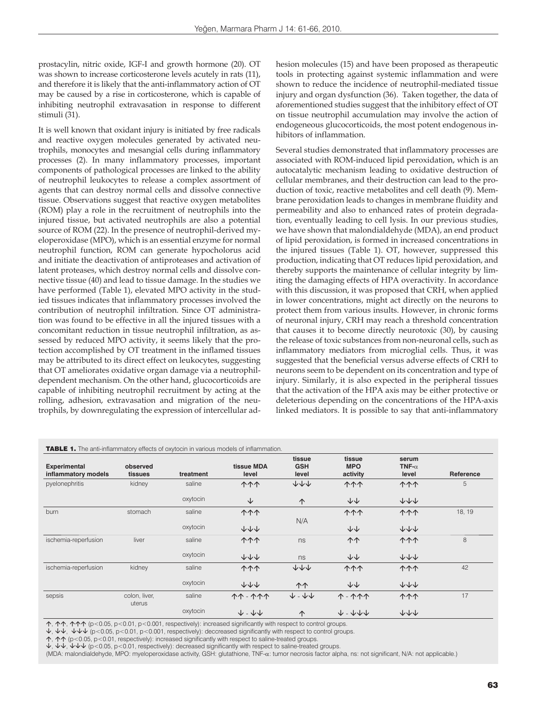prostacylin, nitric oxide, IGF-I and growth hormone (20). OT was shown to increase corticosterone levels acutely in rats (11), and therefore it is likely that the anti-inflammatory action of OT may be caused by a rise in corticosterone, which is capable of inhibiting neutrophil extravasation in response to different stimuli (31).

It is well known that oxidant injury is initiated by free radicals and reactive oxygen molecules generated by activated neutrophils, monocytes and mesangial cells during inflammatory processes (2). In many inflammatory processes, important components of pathological processes are linked to the ability of neutrophil leukocytes to release a complex assortment of agents that can destroy normal cells and dissolve connective tissue. Observations suggest that reactive oxygen metabolites (ROM) play a role in the recruitment of neutrophils into the injured tissue, but activated neutrophils are also a potential source of ROM (22). In the presence of neutrophil-derived myeloperoxidase (MPO), which is an essential enzyme for normal neutrophil function, ROM can generate hypocholorus acid and initiate the deactivation of antiproteases and activation of latent proteases, which destroy normal cells and dissolve connective tissue (40) and lead to tissue damage. In the studies we have performed (Table 1), elevated MPO activity in the studied tissues indicates that inflammatory processes involved the contribution of neutrophil infiltration. Since OT administration was found to be effective in all the injured tissues with a concomitant reduction in tissue neutrophil infiltration, as assessed by reduced MPO activity, it seems likely that the protection accomplished by OT treatment in the inflamed tissues may be attributed to its direct effect on leukocytes, suggesting that OT ameliorates oxidative organ damage via a neutrophildependent mechanism. On the other hand, glucocorticoids are capable of inhibiting neutrophil recruitment by acting at the rolling, adhesion, extravasation and migration of the neutrophils, by downregulating the expression of intercellular adhesion molecules (15) and have been proposed as therapeutic tools in protecting against systemic inflammation and were shown to reduce the incidence of neutrophil-mediated tissue injury and organ dysfunction (36). Taken together, the data of aforementioned studies suggest that the inhibitory effect of OT on tissue neutrophil accumulation may involve the action of endogeneous glucocorticoids, the most potent endogenous inhibitors of inflammation.

Several studies demonstrated that inflammatory processes are associated with ROM-induced lipid peroxidation, which is an autocatalytic mechanism leading to oxidative destruction of cellular membranes, and their destruction can lead to the production of toxic, reactive metabolites and cell death (9). Membrane peroxidation leads to changes in membrane fluidity and permeability and also to enhanced rates of protein degradation, eventually leading to cell lysis. In our previous studies, we have shown that malondialdehyde (MDA), an end product of lipid peroxidation, is formed in increased concentrations in the injured tissues (Table 1). OT, however, suppressed this production, indicating that OT reduces lipid peroxidation, and thereby supports the maintenance of cellular integrity by limiting the damaging effects of HPA overactivity. In accordance with this discussion, it was proposed that CRH, when applied in lower concentrations, might act directly on the neurons to protect them from various insults. However, in chronic forms of neuronal injury, CRH may reach a threshold concentration that causes it to become directly neurotoxic (30), by causing the release of toxic substances from non-neuronal cells, such as inflammatory mediators from microglial cells. Thus, it was suggested that the beneficial versus adverse effects of CRH to neurons seem to be dependent on its concentration and type of injury. Similarly, it is also expected in the peripheral tissues that the activation of the HPA axis may be either protective or deleterious depending on the concentrations of the HPA-axis linked mediators. It is possible to say that anti-inflammatory

| <b>Experimental</b><br>inflammatory models | observed<br>tissues     | treatment | tissue MDA<br>level                   | tissue<br><b>GSH</b><br>level | tissue<br><b>MPO</b><br>activity | serum<br>TNF- $\alpha$<br>level | Reference |
|--------------------------------------------|-------------------------|-----------|---------------------------------------|-------------------------------|----------------------------------|---------------------------------|-----------|
| pyelonephritis                             | kidney                  | saline    | <b>111</b>                            | $+\ +$                        | <b>111</b>                       | <b>111</b>                      | 5         |
|                                            |                         | oxytocin  | ↓                                     | $\uparrow$                    | $\downarrow \downarrow$          | $+\ +$                          |           |
| burn                                       | stomach                 | saline    | <b>111</b>                            |                               | <b>111</b>                       | <b>111</b>                      | 18, 19    |
|                                            |                         | oxytocin  | $+\ + +$                              | N/A                           | $++$                             | $+\ +$                          |           |
| ischemia-reperfusion                       | liver                   | saline    | <b>111</b>                            | ns                            | 个个                               | <b>1111</b>                     | 8         |
|                                            |                         | oxytocin  | $+\ + +$                              | ns                            | $++$                             | $+\ +$                          |           |
| ischemia-reperfusion                       | kidney                  | saline    | <b>111</b>                            | $+\ +$                        | <b>1111</b>                      | <b>1111</b>                     | 42        |
|                                            |                         | oxytocin  | ナイイ                                   | <b>11</b>                     | ↓↓                               | $+\ +$                          |           |
| sepsis                                     | colon, liver,<br>uterus | saline    | <b>11 - 111</b>                       | $+ - +$                       | <b>1-111</b>                     | <b>1111</b>                     | 17        |
|                                            |                         | oxytocin  | $\downarrow$ - $\downarrow\downarrow$ | $\uparrow$                    | $V - V + V$                      | $+\ +$                          |           |

↑, ↑↑, ↑↑↑ (p<0.05, p<0.01, p<0.001, respectively): increased significantly with respect to control groups.

 $\downarrow$ ,  $\downarrow\downarrow$ ,  $\downarrow\downarrow$  (p<0.05, p<0.01, p<0.001, respectively): deccreased significantly with respect to control groups.

 $\uparrow$ ,  $\uparrow\uparrow$  (p<0.05, p<0.01, respectively): increased significantly with respect to saline-treated groups.

 $\psi$ ,  $\psi\psi$ ,  $\psi\psi\psi$  (p<0.05, p<0.01, respectively): decreased significantly with respect to saline-treated groups.

(MDA: malondialdehyde, MPO: myeloperoxidase activity, GSH: glutathione, TNF-α: tumor necrosis factor alpha, ns: not significant, N/A: not applicable.)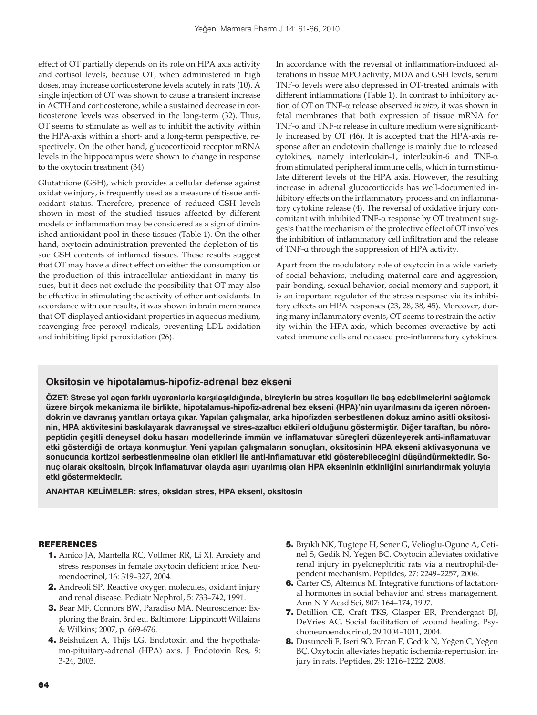effect of OT partially depends on its role on HPA axis activity and cortisol levels, because OT, when administered in high doses, may increase corticosterone levels acutely in rats (10). A single injection of OT was shown to cause a transient increase in ACTH and corticosterone, while a sustained decrease in corticosterone levels was observed in the long-term (32). Thus, OT seems to stimulate as well as to inhibit the activity within the HPA-axis within a short- and a long-term perspective, respectively. On the other hand, glucocorticoid receptor mRNA levels in the hippocampus were shown to change in response to the oxytocin treatment (34).

Glutathione (GSH), which provides a cellular defense against oxidative injury, is frequently used as a measure of tissue antioxidant status. Therefore, presence of reduced GSH levels shown in most of the studied tissues affected by different models of inflammation may be considered as a sign of diminished antioxidant pool in these tissues (Table 1). On the other hand, oxytocin administration prevented the depletion of tissue GSH contents of inflamed tissues. These results suggest that OT may have a direct effect on either the consumption or the production of this intracellular antioxidant in many tissues, but it does not exclude the possibility that OT may also be effective in stimulating the activity of other antioxidants. In accordance with our results, it was shown in brain membranes that OT displayed antioxidant properties in aqueous medium, scavenging free peroxyl radicals, preventing LDL oxidation and inhibiting lipid peroxidation (26).

In accordance with the reversal of inflammation-induced alterations in tissue MPO activity, MDA and GSH levels, serum TNF-α levels were also depressed in OT-treated animals with different inflammations (Table 1). In contrast to inhibitory action of OT on TNF-α release observed *in vivo*, it was shown in fetal membranes that both expression of tissue mRNA for TNF- $\alpha$  and TNF- $\alpha$  release in culture medium were significantly increased by OT (46). It is accepted that the HPA-axis response after an endotoxin challenge is mainly due to released cytokines, namely interleukin-1, interleukin-6 and TNF-α from stimulated peripheral immune cells, which in turn stimulate different levels of the HPA axis. However, the resulting increase in adrenal glucocorticoids has well-documented inhibitory effects on the inflammatory process and on inflammatory cytokine release (4). The reversal of oxidative injury concomitant with inhibited TNF-α response by OT treatment suggests that the mechanism of the protective effect of OT involves the inhibition of inflammatory cell infiltration and the release of TNF-α through the suppression of HPA activity.

Apart from the modulatory role of oxytocin in a wide variety of social behaviors, including maternal care and aggression, pair-bonding, sexual behavior, social memory and support, it is an important regulator of the stress response via its inhibitory effects on HPA responses (23, 28, 38, 45). Moreover, during many inflammatory events, OT seems to restrain the activity within the HPA-axis, which becomes overactive by activated immune cells and released pro-inflammatory cytokines.

# **Oksitosin ve hipotalamus-hipofiz-adrenal bez ekseni**

**ÖZET: Strese yol açan farklı uyaranlarla karşılaşıldığında, bireylerin bu stres koşulları ile baş edebilmelerini sağlamak üzere birçok mekanizma ile birlikte, hipotalamus-hipofiz-adrenal bez ekseni (HPA)'nin uyarılmasını da içeren nöroendokrin ve davranış yanıtları ortaya çıkar. Yapılan çalışmalar, arka hipofizden serbestlenen dokuz amino asitli oksitosinin, HPA aktivitesini baskılayarak davranışsal ve stres-azaltıcı etkileri olduğunu göstermiştir. Diğer taraftan, bu nöropeptidin çeşitli deneysel doku hasarı modellerinde immün ve inflamatuvar süreçleri düzenleyerek anti-inflamatuvar etki gösterdiği de ortaya konmuştur. Yeni yapılan çalışmaların sonuçları, oksitosinin HPA ekseni aktivasyonuna ve sonucunda kortizol serbestlenmesine olan etkileri ile anti-inflamatuvar etki gösterebileceğini düşündürmektedir. Sonuç olarak oksitosin, birçok inflamatuvar olayda aşırı uyarılmış olan HPA ekseninin etkinliğini sınırlandırmak yoluyla etki göstermektedir.**

**ANAHTAR KELİMELER: stres, oksidan stres, HPA ekseni, oksitosin**

#### **REFERENCES**

- 1. Amico JA, Mantella RC, Vollmer RR, Li XJ. Anxiety and stress responses in female oxytocin deficient mice. Neuroendocrinol, 16: 319–327, 2004.
- 2. Andreoli SP. Reactive oxygen molecules, oxidant injury and renal disease. Pediatr Nephrol, 5: 733–742, 1991.
- 3. Bear MF, Connors BW, Paradiso MA. Neuroscience: Exploring the Brain. 3rd ed. Baltimore: Lippincott Willaims & Wilkins; 2007, p. 669-676.
- 4. Beishuizen A, Thijs LG. Endotoxin and the hypothalamo-pituitary-adrenal (HPA) axis. J Endotoxin Res, 9: 3-24, 2003.
- 5. Bıyıklı NK, Tugtepe H, Sener G, Velioglu-Ogunc A, Cetinel S, Gedik N, Yeğen BC. Oxytocin alleviates oxidative renal injury in pyelonephritic rats via a neutrophil-dependent mechanism. Peptides, 27: 2249–2257, 2006.
- 6. Carter CS, Altemus M. Integrative functions of lactational hormones in social behavior and stress management. Ann N Y Acad Sci, 807: 164–174, 1997.
- 7. Detillion CE, Craft TKS, Glasper ER, Prendergast BJ, DeVries AC. Social facilitation of wound healing. Psychoneuroendocrinol, 29:1004–1011, 2004.
- 8. Dusunceli F, Iseri SO, Ercan F, Gedik N, Yeğen C, Yeğen BÇ. Oxytocin alleviates hepatic ischemia-reperfusion injury in rats. Peptides, 29: 1216–1222, 2008.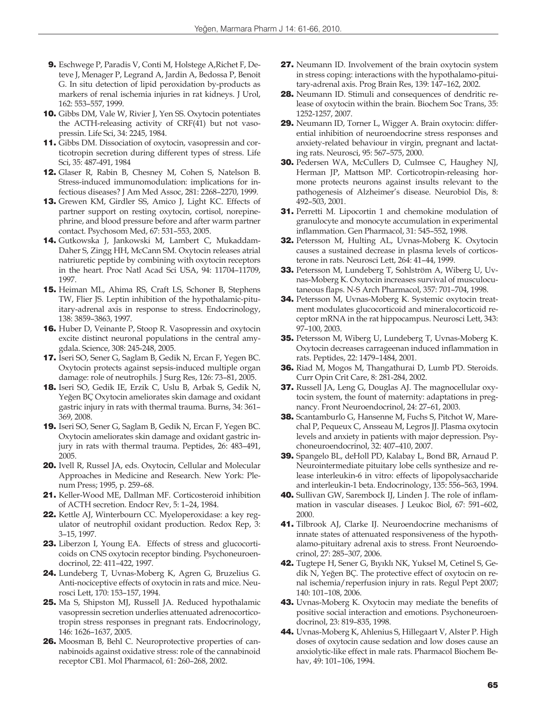- 9. Eschwege P, Paradis V, Conti M, Holstege A,Richet F, Deteve J, Menager P, Legrand A, Jardin A, Bedossa P, Benoit G. In situ detection of lipid peroxidation by-products as markers of renal ischemia injuries in rat kidneys. J Urol, 162: 553–557, 1999.
- 10. Gibbs DM, Vale W, Rivier J, Yen SS. Oxytocin potentiates the ACTH-releasing activity of CRF(41) but not vasopressin. Life Sci, 34: 2245, 1984.
- 11. Gibbs DM. Dissociation of oxytocin, vasopressin and corticotropin secretion during different types of stress. Life Sci, 35: 487-491, 1984
- 12. Glaser R, Rabin B, Chesney M, Cohen S, Natelson B. Stress-induced immunomodulation: implications for infectious diseases? J Am Med Assoc, 281: 2268–2270, 1999.
- 13. Grewen KM, Girdler SS, Amico J, Light KC. Effects of partner support on resting oxytocin, cortisol, norepinephrine, and blood pressure before and after warm partner contact. Psychosom Med, 67: 531–553, 2005.
- 14. Gutkowska J, Jankowski M, Lambert C, Mukaddam-Daher S, Zingg HH, McCann SM. Oxytocin releases atrial natriuretic peptide by combining with oxytocin receptors in the heart. Proc Natl Acad Sci USA, 94: 11704–11709, 1997.
- 15. Heiman ML, Ahima RS, Craft LS, Schoner B, Stephens TW, Flier JS. Leptin inhibition of the hypothalamic-pituitary-adrenal axis in response to stress. Endocrinology, 138: 3859–3863, 1997.
- 16. Huber D, Veinante P, Stoop R. Vasopressin and oxytocin excite distinct neuronal populations in the central amygdala. Science, 308: 245-248, 2005.
- 17. Iseri SO, Sener G, Saglam B, Gedik N, Ercan F, Yegen BC. Oxytocin protects against sepsis-induced multiple organ damage: role of neutrophils. J Surg Res, 126: 73–81, 2005.
- 18. Iseri SO, Gedik IE, Erzik C, Uslu B, Arbak S, Gedik N, Yeğen BÇ Oxytocin ameliorates skin damage and oxidant gastric injury in rats with thermal trauma. Burns, 34: 361– 369, 2008.
- 19. Iseri SO, Sener G, Saglam B, Gedik N, Ercan F, Yegen BC. Oxytocin ameliorates skin damage and oxidant gastric injury in rats with thermal trauma. Peptides, 26: 483–491, 2005.
- 20. Ivell R, Russel JA, eds. Oxytocin, Cellular and Molecular Approaches in Medicine and Research. New York: Plenum Press; 1995, p. 259–68.
- 21. Keller-Wood ME, Dallman MF. Corticosteroid inhibition of ACTH secretion. Endocr Rev, 5: 1–24, 1984.
- 22. Kettle AJ, Winterbourn CC. Myeloperoxidase: a key regulator of neutrophil oxidant production. Redox Rep, 3: 3–15, 1997.
- 23. Liberzon I, Young EA. Effects of stress and glucocorticoids on CNS oxytocin receptor binding. Psychoneuroendocrinol, 22: 411–422, 1997.
- 24. Lundeberg T, Uvnas-Moberg K, Agren G, Bruzelius G. Anti-nociceptive effects of oxytocin in rats and mice. Neurosci Lett, 170: 153–157, 1994.
- 25. Ma S, Shipston MJ, Russell JA. Reduced hypothalamic vasopressin secretion underlies attenuated adrenocorticotropin stress responses in pregnant rats. Endocrinology, 146: 1626–1637, 2005.
- 26. Moosman B, Behl C. Neuroprotective properties of cannabinoids against oxidative stress: role of the cannabinoid receptor CB1. Mol Pharmacol, 61: 260–268, 2002.
- 27. Neumann ID. Involvement of the brain oxytocin system in stress coping: interactions with the hypothalamo-pituitary-adrenal axis. Prog Brain Res, 139: 147–162, 2002.
- 28. Neumann ID. Stimuli and consequences of dendritic release of oxytocin within the brain. Biochem Soc Trans, 35: 1252-1257, 2007.
- 29. Neumann ID, Torner L, Wigger A. Brain oxytocin: differential inhibition of neuroendocrine stress responses and anxiety-related behaviour in virgin, pregnant and lactating rats. Neurosci, 95: 567–575, 2000.
- 30. Pedersen WA, McCullers D, Culmsee C, Haughey NJ, Herman JP, Mattson MP. Corticotropin-releasing hormone protects neurons against insults relevant to the pathogenesis of Alzheimer's disease. Neurobiol Dis, 8: 492–503, 2001.
- 31. Perretti M. Lipocortin 1 and chemokine modulation of granulocyte and monocyte accumulation in experimental inflammation. Gen Pharmacol, 31: 545–552, 1998.
- 32. Petersson M, Hulting AL, Uvnas-Moberg K. Oxytocin causes a sustained decrease in plasma levels of corticosterone in rats. Neurosci Lett, 264: 41–44, 1999.
- 33. Petersson M, Lundeberg T, Sohlström A, Wiberg U, Uvnas-Moberg K. Oxytocin increases survival of musculocutaneous flaps. N-S Arch Pharmacol, 357: 701–704, 1998.
- 34. Petersson M, Uvnas-Moberg K. Systemic oxytocin treatment modulates glucocorticoid and mineralocorticoid receptor mRNA in the rat hippocampus. Neurosci Lett, 343: 97–100, 2003.
- 35. Petersson M, Wiberg U, Lundeberg T, Uvnas-Moberg K. Oxytocin decreases carrageenan induced inflammation in rats. Peptides, 22: 1479–1484, 2001.
- 36. Riad M, Mogos M, Thangathurai D, Lumb PD. Steroids. Curr Opin Crit Care, 8: 281-284, 2002.
- 37. Russell JA, Leng G, Douglas AJ. The magnocellular oxytocin system, the fount of maternity: adaptations in pregnancy. Front Neuroendocrinol, 24: 27–61, 2003.
- 38. Scantamburlo G, Hansenne M, Fuchs S, Pitchot W, Marechal P, Pequeux C, Ansseau M, Legros JJ. Plasma oxytocin levels and anxiety in patients with major depression. Psychoneuroendocrinol, 32: 407–410, 2007.
- 39. Spangelo BL, deHoll PD, Kalabay L, Bond BR, Arnaud P. Neurointermediate pituitary lobe cells synthesize and release interleukin-6 in vitro: effects of lipopolysaccharide and interleukin-1 beta. Endocrinology, 135: 556–563, 1994.
- 40. Sullivan GW, Sarembock IJ, Linden J. The role of inflammation in vascular diseases. J Leukoc Biol, 67: 591–602, 2000.
- 41. Tilbrook AJ, Clarke IJ. Neuroendocrine mechanisms of innate states of attenuated responsiveness of the hypothalamo-pituitary adrenal axis to stress. Front Neuroendocrinol, 27: 285–307, 2006.
- 42. Tugtepe H, Sener G, Bıyıklı NK, Yuksel M, Cetinel S, Gedik N, Yeğen BÇ. The protective effect of oxytocin on renal ischemia/reperfusion injury in rats. Regul Pept 2007; 140: 101–108, 2006.
- 43. Uvnas-Moberg K. Oxytocin may mediate the benefits of positive social interaction and emotions. Psychoneuroendocrinol, 23: 819–835, 1998.
- 44. Uvnas-Moberg K, Ahlenius S, Hillegaart V, Alster P. High doses of oxytocin cause sedation and low doses cause an anxiolytic-like effect in male rats. Pharmacol Biochem Behav, 49: 101–106, 1994.